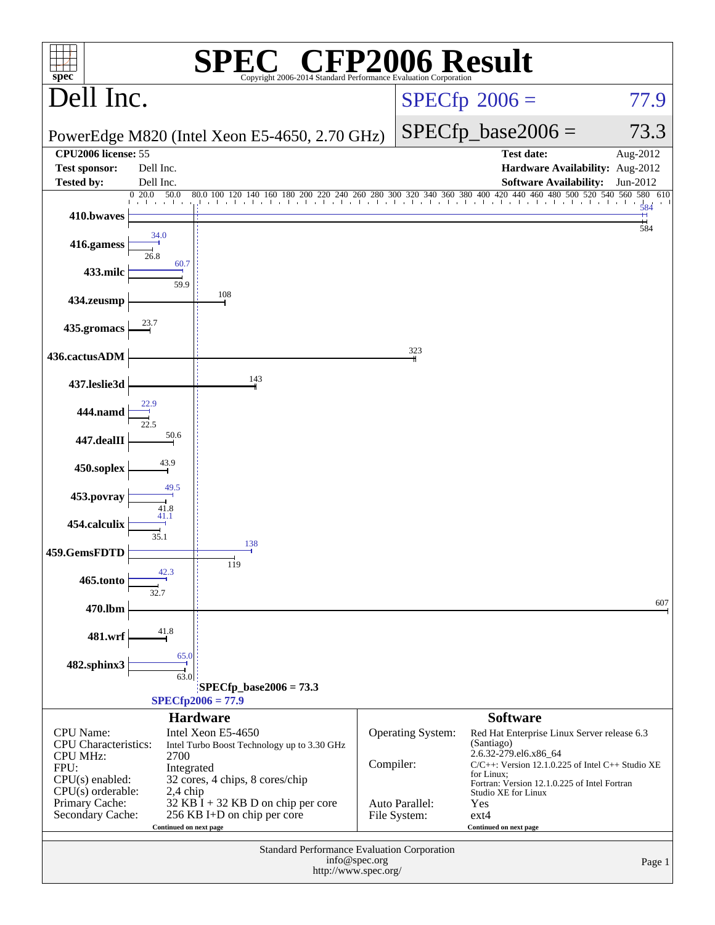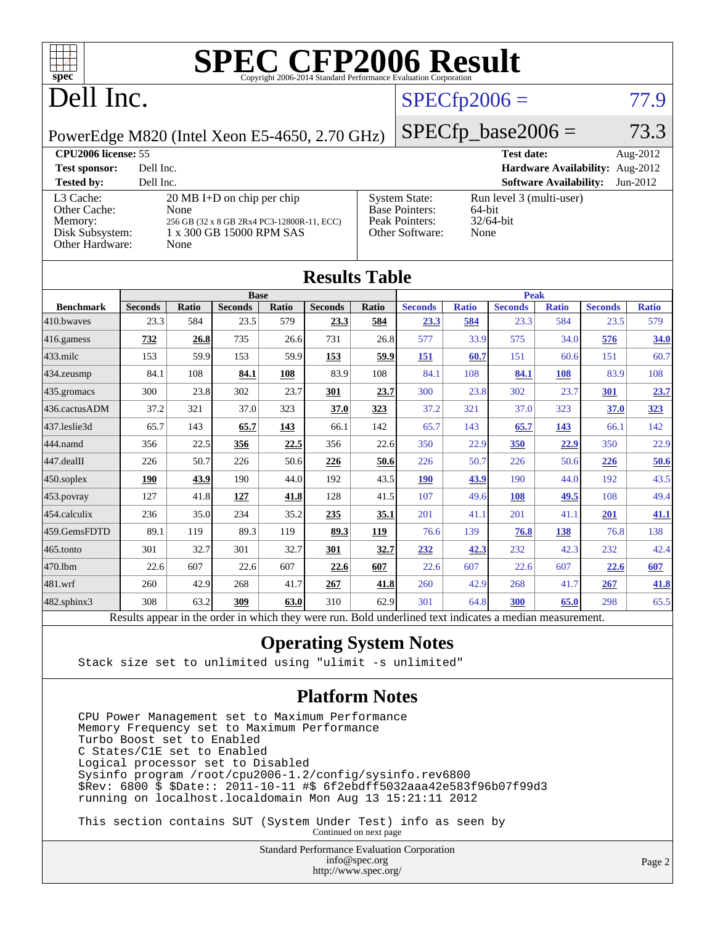

## Dell Inc.

### $SPECfp2006 = 77.9$  $SPECfp2006 = 77.9$

PowerEdge M820 (Intel Xeon E5-4650, 2.70 GHz)

 $SPECfp\_base2006 = 73.3$ 

| <b>CPU2006 license: 55</b>                                                 |                                                                                                                                |                                                                                    | Aug- $2012$                                                |          |
|----------------------------------------------------------------------------|--------------------------------------------------------------------------------------------------------------------------------|------------------------------------------------------------------------------------|------------------------------------------------------------|----------|
| <b>Test sponsor:</b>                                                       | Dell Inc.                                                                                                                      |                                                                                    | Hardware Availability: Aug-2012                            |          |
| <b>Tested by:</b>                                                          | Dell Inc.                                                                                                                      |                                                                                    | <b>Software Availability:</b>                              | Jun-2012 |
| L3 Cache:<br>Other Cache:<br>Memory:<br>Disk Subsystem:<br>Other Hardware: | $20 \text{ MB I+D}$ on chip per chip<br>None<br>256 GB (32 x 8 GB 2Rx4 PC3-12800R-11, ECC)<br>1 x 300 GB 15000 RPM SAS<br>None | <b>System State:</b><br><b>Base Pointers:</b><br>Peak Pointers:<br>Other Software: | Run level 3 (multi-user)<br>64-bit<br>$32/64$ -bit<br>None |          |

| <b>Results Table</b> |                                                                                                          |              |                |       |                |       |                |              |                |              |                |              |
|----------------------|----------------------------------------------------------------------------------------------------------|--------------|----------------|-------|----------------|-------|----------------|--------------|----------------|--------------|----------------|--------------|
| <b>Base</b>          |                                                                                                          |              |                |       | <b>Peak</b>    |       |                |              |                |              |                |              |
| <b>Benchmark</b>     | <b>Seconds</b>                                                                                           | <b>Ratio</b> | <b>Seconds</b> | Ratio | <b>Seconds</b> | Ratio | <b>Seconds</b> | <b>Ratio</b> | <b>Seconds</b> | <b>Ratio</b> | <b>Seconds</b> | <b>Ratio</b> |
| 410.bwayes           | 23.3                                                                                                     | 584          | 23.5           | 579   | 23.3           | 584   | 23.3           | 584          | 23.3           | 584          | 23.5           | 579          |
| 416.gamess           | 732                                                                                                      | 26.8         | 735            | 26.6  | 731            | 26.8  | 577            | 33.9         | 575            | 34.0         | 576            | 34.0         |
| $433$ .milc          | 153                                                                                                      | 59.9         | 153            | 59.9  | 153            | 59.9  | 151            | 60.7         | 151            | 60.6         | 151            | 60.7         |
| $434$ . zeusmp       | 84.1                                                                                                     | 108          | 84.1           | 108   | 83.9           | 108   | 84.1           | 108          | 84.1           | 108          | 83.9           | 108          |
| 435.gromacs          | 300                                                                                                      | 23.8         | 302            | 23.7  | 301            | 23.7  | 300            | 23.8         | 302            | 23.7         | 301            | 23.7         |
| 436.cactusADM        | 37.2                                                                                                     | 321          | 37.0           | 323   | 37.0           | 323   | 37.2           | 321          | 37.0           | 323          | 37.0           | 323          |
| 437.leslie3d         | 65.7                                                                                                     | 143          | 65.7           | 143   | 66.1           | 142   | 65.7           | 143          | 65.7           | 143          | 66.1           | 142          |
| 444.namd             | 356                                                                                                      | 22.5         | 356            | 22.5  | 356            | 22.6  | 350            | 22.9         | 350            | 22.9         | 350            | 22.9         |
| $447$ .dealII        | 226                                                                                                      | 50.7         | 226            | 50.6  | 226            | 50.6  | 226            | 50.7         | 226            | 50.6         | 226            | 50.6         |
| $450$ .soplex        | 190                                                                                                      | 43.9         | 190            | 44.0  | 192            | 43.5  | <b>190</b>     | 43.9         | 190            | 44.0         | 192            | 43.5         |
| $453$ .povray        | 127                                                                                                      | 41.8         | 127            | 41.8  | 128            | 41.5  | 107            | 49.6         | 108            | 49.5         | 108            | 49.4         |
| 454.calculix         | 236                                                                                                      | 35.0         | 234            | 35.2  | 235            | 35.1  | 201            | 41.1         | 201            | 41.1         | 201            | 41.1         |
| 459.GemsFDTD         | 89.1                                                                                                     | 119          | 89.3           | 119   | 89.3           | 119   | 76.6           | 139          | 76.8           | 138          | 76.8           | 138          |
| $465$ .tonto         | 301                                                                                                      | 32.7         | 301            | 32.7  | 301            | 32.7  | 232            | 42.3         | 232            | 42.3         | 232            | 42.4         |
| 470.1bm              | 22.6                                                                                                     | 607          | 22.6           | 607   | 22.6           | 607   | 22.6           | 607          | 22.6           | 607          | 22.6           | 607          |
| 481.wrf              | 260                                                                                                      | 42.9         | 268            | 41.7  | 267            | 41.8  | 260            | 42.9         | 268            | 41.7         | 267            | 41.8         |
| $482$ .sphinx $3$    | 308                                                                                                      | 63.2         | 309            | 63.0  | 310            | 62.9  | 301            | 64.8         | 300            | 65.0         | 298            | 65.5         |
|                      | Results appear in the order in which they were run. Bold underlined text indicates a median measurement. |              |                |       |                |       |                |              |                |              |                |              |

#### **[Operating System Notes](http://www.spec.org/auto/cpu2006/Docs/result-fields.html#OperatingSystemNotes)**

Stack size set to unlimited using "ulimit -s unlimited"

#### **[Platform Notes](http://www.spec.org/auto/cpu2006/Docs/result-fields.html#PlatformNotes)**

 CPU Power Management set to Maximum Performance Memory Frequency set to Maximum Performance Turbo Boost set to Enabled C States/C1E set to Enabled Logical processor set to Disabled Sysinfo program /root/cpu2006-1.2/config/sysinfo.rev6800 \$Rev: 6800 \$ \$Date:: 2011-10-11 #\$ 6f2ebdff5032aaa42e583f96b07f99d3 running on localhost.localdomain Mon Aug 13 15:21:11 2012

 This section contains SUT (System Under Test) info as seen by Continued on next page

> Standard Performance Evaluation Corporation [info@spec.org](mailto:info@spec.org) <http://www.spec.org/>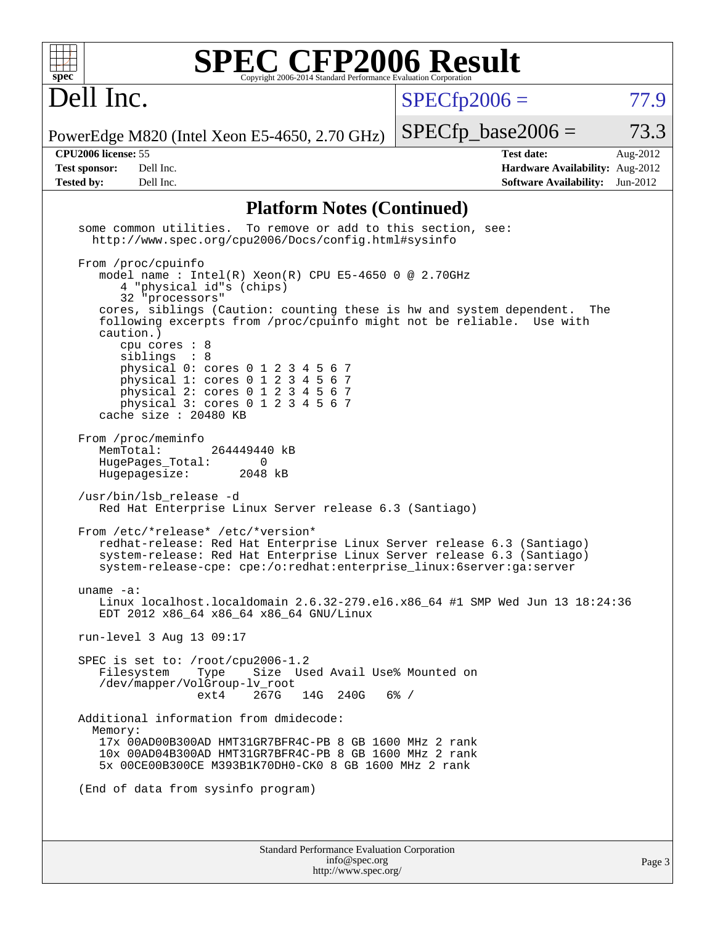

Dell Inc.

 $SPECTp2006 = 77.9$ 

PowerEdge M820 (Intel Xeon E5-4650, 2.70 GHz)

 $SPECTp\_base2006 = 73.3$ 

**[Tested by:](http://www.spec.org/auto/cpu2006/Docs/result-fields.html#Testedby)** Dell Inc. **[Software Availability:](http://www.spec.org/auto/cpu2006/Docs/result-fields.html#SoftwareAvailability)** Jun-2012

**[CPU2006 license:](http://www.spec.org/auto/cpu2006/Docs/result-fields.html#CPU2006license)** 55 **[Test date:](http://www.spec.org/auto/cpu2006/Docs/result-fields.html#Testdate)** Aug-2012 **[Test sponsor:](http://www.spec.org/auto/cpu2006/Docs/result-fields.html#Testsponsor)** Dell Inc. **[Hardware Availability:](http://www.spec.org/auto/cpu2006/Docs/result-fields.html#HardwareAvailability)** Aug-2012

#### **[Platform Notes \(Continued\)](http://www.spec.org/auto/cpu2006/Docs/result-fields.html#PlatformNotes)**

Standard Performance Evaluation Corporation [info@spec.org](mailto:info@spec.org) some common utilities. To remove or add to this section, see: <http://www.spec.org/cpu2006/Docs/config.html#sysinfo> From /proc/cpuinfo model name : Intel(R) Xeon(R) CPU E5-4650 0 @ 2.70GHz 4 "physical id"s (chips) 32 "processors" cores, siblings (Caution: counting these is hw and system dependent. The following excerpts from /proc/cpuinfo might not be reliable. Use with caution.) cpu cores : 8 siblings : 8 physical 0: cores 0 1 2 3 4 5 6 7 physical 1: cores 0 1 2 3 4 5 6 7 physical 2: cores 0 1 2 3 4 5 6 7 physical 3: cores 0 1 2 3 4 5 6 7 cache size : 20480 KB From /proc/meminfo<br>MemTotal: 264449440 kB HugePages\_Total: 0<br>Hugepagesize: 2048 kB Hugepagesize: /usr/bin/lsb\_release -d Red Hat Enterprise Linux Server release 6.3 (Santiago) From /etc/\*release\* /etc/\*version\* redhat-release: Red Hat Enterprise Linux Server release 6.3 (Santiago) system-release: Red Hat Enterprise Linux Server release 6.3 (Santiago) system-release-cpe: cpe:/o:redhat:enterprise\_linux:6server:ga:server uname -a: Linux localhost.localdomain 2.6.32-279.el6.x86\_64 #1 SMP Wed Jun 13 18:24:36 EDT 2012 x86\_64 x86\_64 x86\_64 GNU/Linux run-level 3 Aug 13 09:17 SPEC is set to: /root/cpu2006-1.2<br>Filesystem Type Size Us Type Size Used Avail Use% Mounted on /dev/mapper/VolGroup-lv\_root ext4 267G 14G 240G 6% / Additional information from dmidecode: Memory: 17x 00AD00B300AD HMT31GR7BFR4C-PB 8 GB 1600 MHz 2 rank 10x 00AD04B300AD HMT31GR7BFR4C-PB 8 GB 1600 MHz 2 rank 5x 00CE00B300CE M393B1K70DH0-CK0 8 GB 1600 MHz 2 rank (End of data from sysinfo program)

<http://www.spec.org/>

Page 3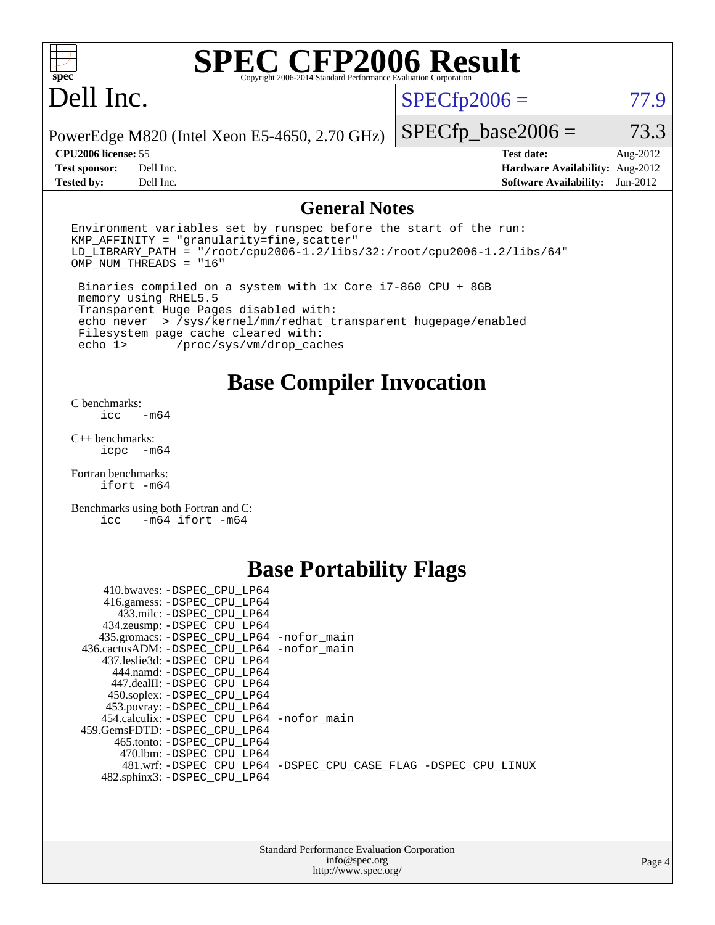

## Dell Inc.

 $SPECfp2006 = 77.9$  $SPECfp2006 = 77.9$ 

PowerEdge M820 (Intel Xeon E5-4650, 2.70 GHz)

**[Tested by:](http://www.spec.org/auto/cpu2006/Docs/result-fields.html#Testedby)** Dell Inc. **[Software Availability:](http://www.spec.org/auto/cpu2006/Docs/result-fields.html#SoftwareAvailability)** Jun-2012

 $SPECTp\_base2006 = 73.3$ **[CPU2006 license:](http://www.spec.org/auto/cpu2006/Docs/result-fields.html#CPU2006license)** 55 **[Test date:](http://www.spec.org/auto/cpu2006/Docs/result-fields.html#Testdate)** Aug-2012 **[Test sponsor:](http://www.spec.org/auto/cpu2006/Docs/result-fields.html#Testsponsor)** Dell Inc. **[Hardware Availability:](http://www.spec.org/auto/cpu2006/Docs/result-fields.html#HardwareAvailability)** Aug-2012

#### **[General Notes](http://www.spec.org/auto/cpu2006/Docs/result-fields.html#GeneralNotes)**

Environment variables set by runspec before the start of the run:  $KMP$  AFFINITY = "granularity=fine, scatter"  $LD$  $LIBRARY$  $PATH =$  "/root/cpu2006-1.2/libs/32:/root/cpu2006-1.2/libs/64" OMP\_NUM\_THREADS = "16"

 Binaries compiled on a system with 1x Core i7-860 CPU + 8GB memory using RHEL5.5 Transparent Huge Pages disabled with: echo never > /sys/kernel/mm/redhat\_transparent\_hugepage/enabled Filesystem page cache cleared with:<br>echo 1> /proc/sys/vm/drop cac /proc/sys/vm/drop\_caches

#### **[Base Compiler Invocation](http://www.spec.org/auto/cpu2006/Docs/result-fields.html#BaseCompilerInvocation)**

[C benchmarks](http://www.spec.org/auto/cpu2006/Docs/result-fields.html#Cbenchmarks):  $\text{icc}$   $-\text{m64}$ 

[C++ benchmarks:](http://www.spec.org/auto/cpu2006/Docs/result-fields.html#CXXbenchmarks) [icpc -m64](http://www.spec.org/cpu2006/results/res2012q3/cpu2006-20120827-24353.flags.html#user_CXXbase_intel_icpc_64bit_bedb90c1146cab66620883ef4f41a67e)

[Fortran benchmarks](http://www.spec.org/auto/cpu2006/Docs/result-fields.html#Fortranbenchmarks): [ifort -m64](http://www.spec.org/cpu2006/results/res2012q3/cpu2006-20120827-24353.flags.html#user_FCbase_intel_ifort_64bit_ee9d0fb25645d0210d97eb0527dcc06e)

[Benchmarks using both Fortran and C](http://www.spec.org/auto/cpu2006/Docs/result-fields.html#BenchmarksusingbothFortranandC): [icc -m64](http://www.spec.org/cpu2006/results/res2012q3/cpu2006-20120827-24353.flags.html#user_CC_FCbase_intel_icc_64bit_0b7121f5ab7cfabee23d88897260401c) [ifort -m64](http://www.spec.org/cpu2006/results/res2012q3/cpu2006-20120827-24353.flags.html#user_CC_FCbase_intel_ifort_64bit_ee9d0fb25645d0210d97eb0527dcc06e)

### **[Base Portability Flags](http://www.spec.org/auto/cpu2006/Docs/result-fields.html#BasePortabilityFlags)**

| 410.bwaves: -DSPEC CPU LP64                 |                                                                |
|---------------------------------------------|----------------------------------------------------------------|
| 416.gamess: -DSPEC_CPU_LP64                 |                                                                |
| 433.milc: -DSPEC CPU LP64                   |                                                                |
| 434.zeusmp: - DSPEC_CPU_LP64                |                                                                |
| 435.gromacs: -DSPEC_CPU_LP64 -nofor_main    |                                                                |
| 436.cactusADM: -DSPEC CPU LP64 -nofor main  |                                                                |
| 437.leslie3d: -DSPEC CPU LP64               |                                                                |
| 444.namd: -DSPEC CPU LP64                   |                                                                |
| 447.dealII: -DSPEC CPU LP64                 |                                                                |
| 450.soplex: - DSPEC CPU LP64                |                                                                |
| 453.povray: -DSPEC_CPU_LP64                 |                                                                |
| 454.calculix: - DSPEC CPU LP64 - nofor main |                                                                |
| 459. GemsFDTD: - DSPEC CPU LP64             |                                                                |
| 465.tonto: -DSPEC CPU LP64                  |                                                                |
| 470.1bm: - DSPEC CPU LP64                   |                                                                |
|                                             | 481.wrf: -DSPEC CPU_LP64 -DSPEC_CPU_CASE_FLAG -DSPEC_CPU_LINUX |
| 482.sphinx3: -DSPEC_CPU_LP64                |                                                                |
|                                             |                                                                |

| <b>Standard Performance Evaluation Corporation</b> |
|----------------------------------------------------|
| info@spec.org                                      |
| http://www.spec.org/                               |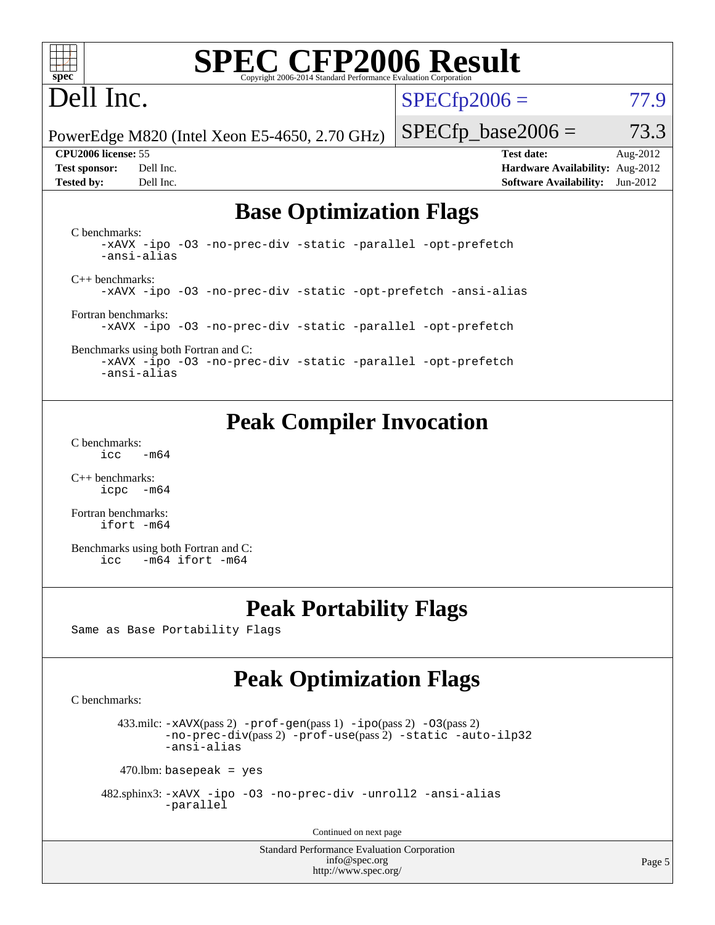

## Dell Inc.

 $SPECfp2006 = 77.9$  $SPECfp2006 = 77.9$ 

PowerEdge M820 (Intel Xeon E5-4650, 2.70 GHz)

**[Tested by:](http://www.spec.org/auto/cpu2006/Docs/result-fields.html#Testedby)** Dell Inc. **[Software Availability:](http://www.spec.org/auto/cpu2006/Docs/result-fields.html#SoftwareAvailability)** Jun-2012

**[CPU2006 license:](http://www.spec.org/auto/cpu2006/Docs/result-fields.html#CPU2006license)** 55 **[Test date:](http://www.spec.org/auto/cpu2006/Docs/result-fields.html#Testdate)** Aug-2012 **[Test sponsor:](http://www.spec.org/auto/cpu2006/Docs/result-fields.html#Testsponsor)** Dell Inc. **[Hardware Availability:](http://www.spec.org/auto/cpu2006/Docs/result-fields.html#HardwareAvailability)** Aug-2012

 $SPECTp\_base2006 = 73.3$ 

### **[Base Optimization Flags](http://www.spec.org/auto/cpu2006/Docs/result-fields.html#BaseOptimizationFlags)**

[C benchmarks](http://www.spec.org/auto/cpu2006/Docs/result-fields.html#Cbenchmarks): [-xAVX](http://www.spec.org/cpu2006/results/res2012q3/cpu2006-20120827-24353.flags.html#user_CCbase_f-xAVX) [-ipo](http://www.spec.org/cpu2006/results/res2012q3/cpu2006-20120827-24353.flags.html#user_CCbase_f-ipo) [-O3](http://www.spec.org/cpu2006/results/res2012q3/cpu2006-20120827-24353.flags.html#user_CCbase_f-O3) [-no-prec-div](http://www.spec.org/cpu2006/results/res2012q3/cpu2006-20120827-24353.flags.html#user_CCbase_f-no-prec-div) [-static](http://www.spec.org/cpu2006/results/res2012q3/cpu2006-20120827-24353.flags.html#user_CCbase_f-static) [-parallel](http://www.spec.org/cpu2006/results/res2012q3/cpu2006-20120827-24353.flags.html#user_CCbase_f-parallel) [-opt-prefetch](http://www.spec.org/cpu2006/results/res2012q3/cpu2006-20120827-24353.flags.html#user_CCbase_f-opt-prefetch) [-ansi-alias](http://www.spec.org/cpu2006/results/res2012q3/cpu2006-20120827-24353.flags.html#user_CCbase_f-ansi-alias) [C++ benchmarks:](http://www.spec.org/auto/cpu2006/Docs/result-fields.html#CXXbenchmarks) [-xAVX](http://www.spec.org/cpu2006/results/res2012q3/cpu2006-20120827-24353.flags.html#user_CXXbase_f-xAVX) [-ipo](http://www.spec.org/cpu2006/results/res2012q3/cpu2006-20120827-24353.flags.html#user_CXXbase_f-ipo) [-O3](http://www.spec.org/cpu2006/results/res2012q3/cpu2006-20120827-24353.flags.html#user_CXXbase_f-O3) [-no-prec-div](http://www.spec.org/cpu2006/results/res2012q3/cpu2006-20120827-24353.flags.html#user_CXXbase_f-no-prec-div) [-static](http://www.spec.org/cpu2006/results/res2012q3/cpu2006-20120827-24353.flags.html#user_CXXbase_f-static) [-opt-prefetch](http://www.spec.org/cpu2006/results/res2012q3/cpu2006-20120827-24353.flags.html#user_CXXbase_f-opt-prefetch) [-ansi-alias](http://www.spec.org/cpu2006/results/res2012q3/cpu2006-20120827-24353.flags.html#user_CXXbase_f-ansi-alias) [Fortran benchmarks](http://www.spec.org/auto/cpu2006/Docs/result-fields.html#Fortranbenchmarks): [-xAVX](http://www.spec.org/cpu2006/results/res2012q3/cpu2006-20120827-24353.flags.html#user_FCbase_f-xAVX) [-ipo](http://www.spec.org/cpu2006/results/res2012q3/cpu2006-20120827-24353.flags.html#user_FCbase_f-ipo) [-O3](http://www.spec.org/cpu2006/results/res2012q3/cpu2006-20120827-24353.flags.html#user_FCbase_f-O3) [-no-prec-div](http://www.spec.org/cpu2006/results/res2012q3/cpu2006-20120827-24353.flags.html#user_FCbase_f-no-prec-div) [-static](http://www.spec.org/cpu2006/results/res2012q3/cpu2006-20120827-24353.flags.html#user_FCbase_f-static) [-parallel](http://www.spec.org/cpu2006/results/res2012q3/cpu2006-20120827-24353.flags.html#user_FCbase_f-parallel) [-opt-prefetch](http://www.spec.org/cpu2006/results/res2012q3/cpu2006-20120827-24353.flags.html#user_FCbase_f-opt-prefetch)

[Benchmarks using both Fortran and C](http://www.spec.org/auto/cpu2006/Docs/result-fields.html#BenchmarksusingbothFortranandC): [-xAVX](http://www.spec.org/cpu2006/results/res2012q3/cpu2006-20120827-24353.flags.html#user_CC_FCbase_f-xAVX) [-ipo](http://www.spec.org/cpu2006/results/res2012q3/cpu2006-20120827-24353.flags.html#user_CC_FCbase_f-ipo) [-O3](http://www.spec.org/cpu2006/results/res2012q3/cpu2006-20120827-24353.flags.html#user_CC_FCbase_f-O3) [-no-prec-div](http://www.spec.org/cpu2006/results/res2012q3/cpu2006-20120827-24353.flags.html#user_CC_FCbase_f-no-prec-div) [-static](http://www.spec.org/cpu2006/results/res2012q3/cpu2006-20120827-24353.flags.html#user_CC_FCbase_f-static) [-parallel](http://www.spec.org/cpu2006/results/res2012q3/cpu2006-20120827-24353.flags.html#user_CC_FCbase_f-parallel) [-opt-prefetch](http://www.spec.org/cpu2006/results/res2012q3/cpu2006-20120827-24353.flags.html#user_CC_FCbase_f-opt-prefetch) [-ansi-alias](http://www.spec.org/cpu2006/results/res2012q3/cpu2006-20120827-24353.flags.html#user_CC_FCbase_f-ansi-alias)

### **[Peak Compiler Invocation](http://www.spec.org/auto/cpu2006/Docs/result-fields.html#PeakCompilerInvocation)**

[C benchmarks](http://www.spec.org/auto/cpu2006/Docs/result-fields.html#Cbenchmarks):  $\text{icc}$  -m64

[C++ benchmarks:](http://www.spec.org/auto/cpu2006/Docs/result-fields.html#CXXbenchmarks) [icpc -m64](http://www.spec.org/cpu2006/results/res2012q3/cpu2006-20120827-24353.flags.html#user_CXXpeak_intel_icpc_64bit_bedb90c1146cab66620883ef4f41a67e)

[Fortran benchmarks](http://www.spec.org/auto/cpu2006/Docs/result-fields.html#Fortranbenchmarks): [ifort -m64](http://www.spec.org/cpu2006/results/res2012q3/cpu2006-20120827-24353.flags.html#user_FCpeak_intel_ifort_64bit_ee9d0fb25645d0210d97eb0527dcc06e)

[Benchmarks using both Fortran and C](http://www.spec.org/auto/cpu2006/Docs/result-fields.html#BenchmarksusingbothFortranandC): [icc -m64](http://www.spec.org/cpu2006/results/res2012q3/cpu2006-20120827-24353.flags.html#user_CC_FCpeak_intel_icc_64bit_0b7121f5ab7cfabee23d88897260401c) [ifort -m64](http://www.spec.org/cpu2006/results/res2012q3/cpu2006-20120827-24353.flags.html#user_CC_FCpeak_intel_ifort_64bit_ee9d0fb25645d0210d97eb0527dcc06e)

### **[Peak Portability Flags](http://www.spec.org/auto/cpu2006/Docs/result-fields.html#PeakPortabilityFlags)**

Same as Base Portability Flags

## **[Peak Optimization Flags](http://www.spec.org/auto/cpu2006/Docs/result-fields.html#PeakOptimizationFlags)**

[C benchmarks](http://www.spec.org/auto/cpu2006/Docs/result-fields.html#Cbenchmarks):

433.milc:  $-x$ AVX(pass 2)  $-p$ rof-gen(pass 1)  $-p$ po(pass 2)  $-03$ (pass 2) [-no-prec-div](http://www.spec.org/cpu2006/results/res2012q3/cpu2006-20120827-24353.flags.html#user_peakPASS2_CFLAGSPASS2_LDFLAGS433_milc_f-no-prec-div)(pass 2) [-prof-use](http://www.spec.org/cpu2006/results/res2012q3/cpu2006-20120827-24353.flags.html#user_peakPASS2_CFLAGSPASS2_LDFLAGS433_milc_prof_use_bccf7792157ff70d64e32fe3e1250b55)(pass 2) [-static](http://www.spec.org/cpu2006/results/res2012q3/cpu2006-20120827-24353.flags.html#user_peakOPTIMIZE433_milc_f-static) [-auto-ilp32](http://www.spec.org/cpu2006/results/res2012q3/cpu2006-20120827-24353.flags.html#user_peakCOPTIMIZE433_milc_f-auto-ilp32) [-ansi-alias](http://www.spec.org/cpu2006/results/res2012q3/cpu2006-20120827-24353.flags.html#user_peakCOPTIMIZE433_milc_f-ansi-alias)

 $470$ .lbm: basepeak = yes

 482.sphinx3: [-xAVX](http://www.spec.org/cpu2006/results/res2012q3/cpu2006-20120827-24353.flags.html#user_peakOPTIMIZE482_sphinx3_f-xAVX) [-ipo](http://www.spec.org/cpu2006/results/res2012q3/cpu2006-20120827-24353.flags.html#user_peakOPTIMIZE482_sphinx3_f-ipo) [-O3](http://www.spec.org/cpu2006/results/res2012q3/cpu2006-20120827-24353.flags.html#user_peakOPTIMIZE482_sphinx3_f-O3) [-no-prec-div](http://www.spec.org/cpu2006/results/res2012q3/cpu2006-20120827-24353.flags.html#user_peakOPTIMIZE482_sphinx3_f-no-prec-div) [-unroll2](http://www.spec.org/cpu2006/results/res2012q3/cpu2006-20120827-24353.flags.html#user_peakCOPTIMIZE482_sphinx3_f-unroll_784dae83bebfb236979b41d2422d7ec2) [-ansi-alias](http://www.spec.org/cpu2006/results/res2012q3/cpu2006-20120827-24353.flags.html#user_peakCOPTIMIZE482_sphinx3_f-ansi-alias) [-parallel](http://www.spec.org/cpu2006/results/res2012q3/cpu2006-20120827-24353.flags.html#user_peakCOPTIMIZE482_sphinx3_f-parallel)

Continued on next page

Standard Performance Evaluation Corporation [info@spec.org](mailto:info@spec.org) <http://www.spec.org/>

Page 5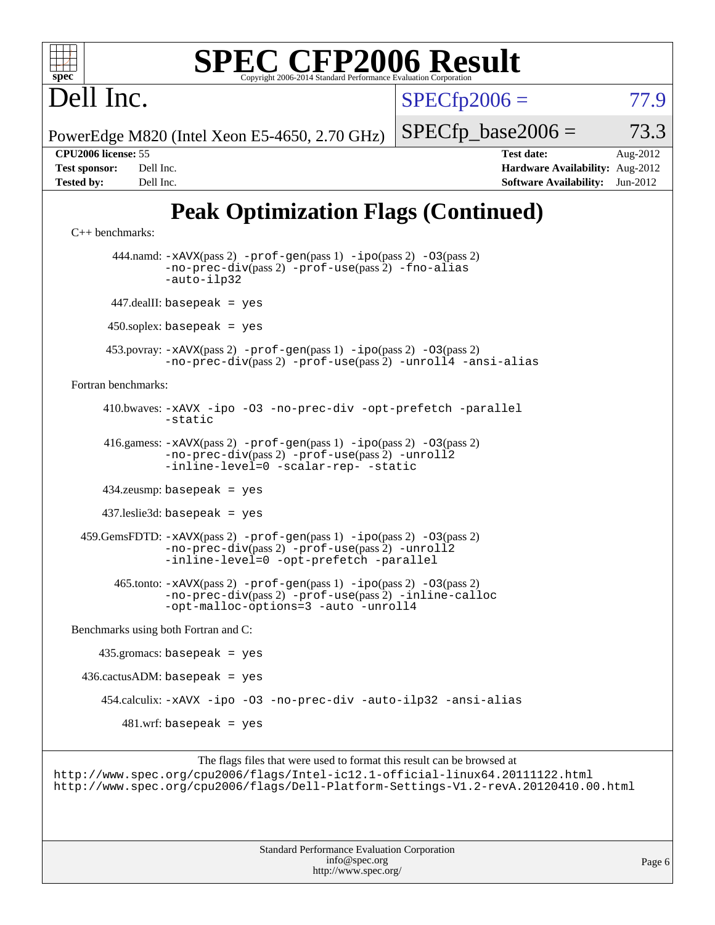

 $SPECfp2006 = 77.9$  $SPECfp2006 = 77.9$ 

PowerEdge M820 (Intel Xeon E5-4650, 2.70 GHz)

 $SPECTp\_base2006 = 73.3$ 

Dell Inc.

**[CPU2006 license:](http://www.spec.org/auto/cpu2006/Docs/result-fields.html#CPU2006license)** 55 **[Test date:](http://www.spec.org/auto/cpu2006/Docs/result-fields.html#Testdate)** Aug-2012 **[Test sponsor:](http://www.spec.org/auto/cpu2006/Docs/result-fields.html#Testsponsor)** Dell Inc. **[Hardware Availability:](http://www.spec.org/auto/cpu2006/Docs/result-fields.html#HardwareAvailability)** Aug-2012 **[Tested by:](http://www.spec.org/auto/cpu2006/Docs/result-fields.html#Testedby)** Dell Inc. **[Software Availability:](http://www.spec.org/auto/cpu2006/Docs/result-fields.html#SoftwareAvailability)** Jun-2012

## **[Peak Optimization Flags \(Continued\)](http://www.spec.org/auto/cpu2006/Docs/result-fields.html#PeakOptimizationFlags)**

```
C++ benchmarks: 
        444.namd: -xAVX(pass 2) -prof-gen(pass 1) -ipo(pass 2) -O3(pass 2)
               -no-prec-div(pass 2) -prof-use(pass 2) -fno-alias
               -auto-ilp32
       447.dealII: basepeak = yes
      450.soplex: basepeak = yes
      453.povray: -xAVX(pass 2) -prof-gen(pass 1) -ipo(pass 2) -O3(pass 2)
               -no-prec-div(pass 2) -prof-use(pass 2) -unroll4 -ansi-alias
Fortran benchmarks: 
      410.bwaves: -xAVX -ipo -O3 -no-prec-div -opt-prefetch -parallel
               -static
      416.gamess: -xAVX(pass 2) -prof-gen(pass 1) -ipo(pass 2) -O3(pass 2)
                -no-prec-div(pass 2) -prof-use(pass 2) -unroll2
               -inline-level=0-scalar-rep--static
      434.zeusmp: basepeak = yes
      437.leslie3d: basepeak = yes
  459.GemsFDTD: -xAVX(pass 2) -prof-gen(pass 1) -ipo(pass 2) -O3(pass 2)
               -no-prec-div(pass 2) -prof-use(pass 2) -unroll2
               -inline-level=0 -opt-prefetch -parallel
        465.tonto: -xAVX(pass 2) -prof-gen(pass 1) -ipo(pass 2) -O3(pass 2)
               -no-prec-div(pass 2) -prof-use(pass 2) -inline-calloc
               -opt-malloc-options=3 -auto -unroll4
Benchmarks using both Fortran and C: 
     435.gromacs: basepeak = yes
 436.cactusADM:basepeak = yes 454.calculix: -xAVX -ipo -O3 -no-prec-div -auto-ilp32 -ansi-alias
        481.wrf: basepeak = yes
```
The flags files that were used to format this result can be browsed at <http://www.spec.org/cpu2006/flags/Intel-ic12.1-official-linux64.20111122.html> <http://www.spec.org/cpu2006/flags/Dell-Platform-Settings-V1.2-revA.20120410.00.html>

> Standard Performance Evaluation Corporation [info@spec.org](mailto:info@spec.org) <http://www.spec.org/>